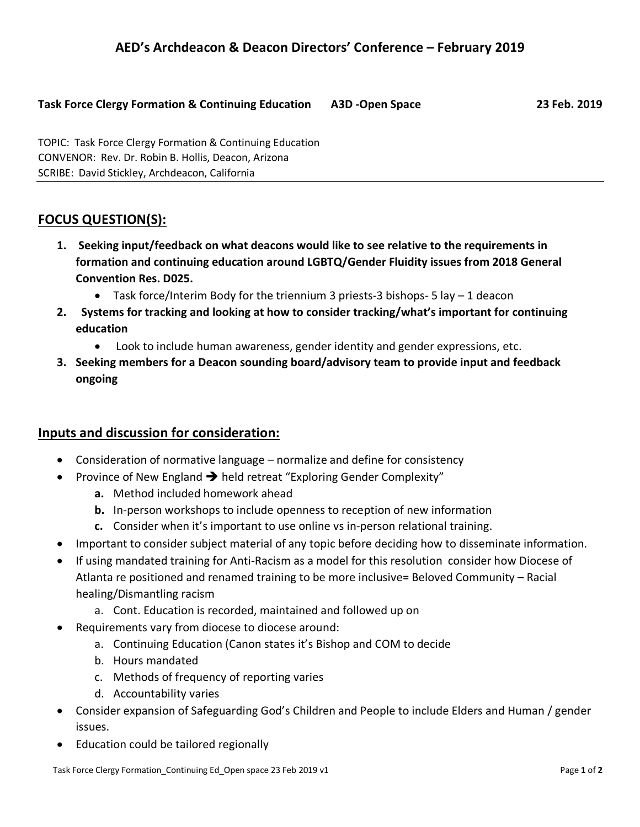### **Task Force Clergy Formation & Continuing Education A3D -Open Space 23 Feb. 2019**

TOPIC: Task Force Clergy Formation & Continuing Education CONVENOR: Rev. Dr. Robin B. Hollis, Deacon, Arizona SCRIBE: David Stickley, Archdeacon, California

# **FOCUS QUESTION(S):**

- **1. Seeking input/feedback on what deacons would like to see relative to the requirements in formation and continuing education around LGBTQ/Gender Fluidity issues from 2018 General Convention Res. D025.**
	- Task force/Interim Body for the triennium 3 priests-3 bishops- 5 lay 1 deacon
- **2. Systems for tracking and looking at how to consider tracking/what's important for continuing education** 
	- Look to include human awareness, gender identity and gender expressions, etc.
- **3. Seeking members for a Deacon sounding board/advisory team to provide input and feedback ongoing**

## **Inputs and discussion for consideration:**

- Consideration of normative language normalize and define for consistency
- Province of New England  $\rightarrow$  held retreat "Exploring Gender Complexity"
	- **a.** Method included homework ahead
	- **b.** In-person workshops to include openness to reception of new information
	- **c.** Consider when it's important to use online vs in-person relational training.
- Important to consider subject material of any topic before deciding how to disseminate information.
- If using mandated training for Anti-Racism as a model for this resolution consider how Diocese of Atlanta re positioned and renamed training to be more inclusive= Beloved Community – Racial healing/Dismantling racism
	- a. Cont. Education is recorded, maintained and followed up on
- Requirements vary from diocese to diocese around:
	- a. Continuing Education (Canon states it's Bishop and COM to decide
	- b. Hours mandated
	- c. Methods of frequency of reporting varies
	- d. Accountability varies
- Consider expansion of Safeguarding God's Children and People to include Elders and Human / gender issues.
- Education could be tailored regionally